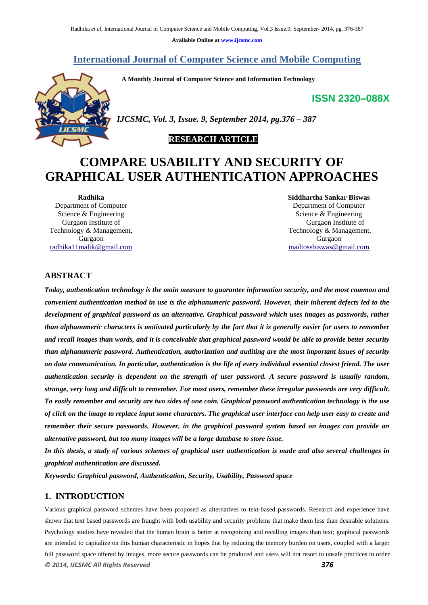**Available Online at www.ijcsmc.com**

# **International Journal of Computer Science and Mobile Computing**

 **A Monthly Journal of Computer Science and Information Technology**

# **ISSN 2320–088X**



*IJCSMC, Vol. 3, Issue. 9, September 2014, pg.376 – 387*

# **RESEARCH ARTICLE**

# **COMPARE USABILITY AND SECURITY OF GRAPHICAL USER AUTHENTICATION APPROACHES**

**Radhika** Department of Computer Science & Engineering Gurgaon Institute of Technology & Management, Gurgaon radhika11malik@gmail.com **Siddhartha Sankar Biswas** Department of Computer Science & Engineering Gurgaon Institute of Technology & Management, Gurgaon mailtossbiswas@gmail.com

# **ABSTRACT**

*Today, authentication technology is the main measure to guarantee information security, and the most common and convenient authentication method in use is the alphanumeric password. However, their inherent defects led to the development of graphical password as an alternative. Graphical password which uses images as passwords, rather than alphanumeric characters is motivated particularly by the fact that it is generally easier for users to remember and recall images than words, and it is conceivable that graphical password would be able to provide better security than alphanumeric password. Authentication, authorization and auditing are the most important issues of security on data communication. In particular, authentication is the life of every individual essential closest friend. The user authentication security is dependent on the strength of user password. A secure password is usually random, strange, very long and difficult to remember. For most users, remember these irregular passwords are very difficult. To easily remember and security are two sides of one coin. Graphical password authentication technology is the use of click on the image to replace input some characters. The graphical user interface can help user easy to create and remember their secure passwords. However, in the graphical password system based on images can provide an alternative password, but too many images will be a large database to store issue.*

*In this thesis, a study of various schemes of graphical user authentication is made and also several challenges in graphical authentication are discussed.*

*Keywords: Graphical password, Authentication, Security, Usability, Password space*

### **1. INTRODUCTION**

*© 2014, IJCSMC All Rights Reserved 376* Various graphical password schemes have been proposed as alternatives to text-based passwords. Research and experience have shown that text based passwords are fraught with both usability and security problems that make them less than desirable solutions. Psychology studies have revealed that the human brain is better at recognizing and recalling images than text; graphical passwords are intended to capitalize on this human characteristic in hopes that by reducing the memory burden on users, coupled with a larger full password space offered by images, more secure passwords can be produced and users will not resort to unsafe practices in order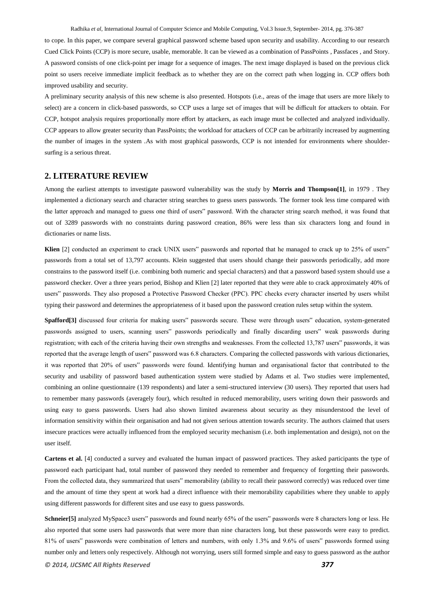Radhika *et al*, International Journal of Computer Science and Mobile Computing, Vol.3 Issue.9, September- 2014, pg. 376-387

to cope. In this paper, we compare several graphical password scheme based upon security and usability. According to our research Cued Click Points (CCP) is more secure, usable, memorable. It can be viewed as a combination of PassPoints , Passfaces , and Story. A password consists of one click-point per image for a sequence of images. The next image displayed is based on the previous click point so users receive immediate implicit feedback as to whether they are on the correct path when logging in. CCP offers both improved usability and security.

A preliminary security analysis of this new scheme is also presented. Hotspots (i.e., areas of the image that users are more likely to select) are a concern in click-based passwords, so CCP uses a large set of images that will be difficult for attackers to obtain. For CCP, hotspot analysis requires proportionally more effort by attackers, as each image must be collected and analyzed individually. CCP appears to allow greater security than PassPoints; the workload for attackers of CCP can be arbitrarily increased by augmenting the number of images in the system .As with most graphical passwords, CCP is not intended for environments where shouldersurfing is a serious threat.

# **2. LITERATURE REVIEW**

Among the earliest attempts to investigate password vulnerability was the study by **Morris and Thompson[1]**, in 1979 . They implemented a dictionary search and character string searches to guess users passwords. The former took less time compared with the latter approach and managed to guess one third of users" password. With the character string search method, it was found that out of 3289 passwords with no constraints during password creation, 86% were less than six characters long and found in dictionaries or name lists.

**Klien** [2] conducted an experiment to crack UNIX users" passwords and reported that he managed to crack up to 25% of users" passwords from a total set of 13,797 accounts. Klein suggested that users should change their passwords periodically, add more constrains to the password itself (i.e. combining both numeric and special characters) and that a password based system should use a password checker. Over a three years period, Bishop and Klien [2] later reported that they were able to crack approximately 40% of users" passwords. They also proposed a Protective Password Checker (PPC). PPC checks every character inserted by users whilst typing their password and determines the appropriateness of it based upon the password creation rules setup within the system.

**Spafford[3]** discussed four criteria for making users" passwords secure. These were through users" education, system-generated passwords assigned to users, scanning users" passwords periodically and finally discarding users" weak passwords during registration; with each of the criteria having their own strengths and weaknesses. From the collected 13,787 users" passwords, it was reported that the average length of users" password was 6.8 characters. Comparing the collected passwords with various dictionaries, it was reported that 20% of users" passwords were found. Identifying human and organisational factor that contributed to the security and usability of password based authentication system were studied by Adams et al. Two studies were implemented, combining an online questionnaire (139 respondents) and later a semi-structured interview (30 users). They reported that users had to remember many passwords (averagely four), which resulted in reduced memorability, users writing down their passwords and using easy to guess passwords. Users had also shown limited awareness about security as they misunderstood the level of information sensitivity within their organisation and had not given serious attention towards security. The authors claimed that users insecure practices were actually influenced from the employed security mechanism (i.e. both implementation and design), not on the user itself.

**Cartens et al.** [4] conducted a survey and evaluated the human impact of password practices. They asked participants the type of password each participant had, total number of password they needed to remember and frequency of forgetting their passwords. From the collected data, they summarized that users" memorability (ability to recall their password correctly) was reduced over time and the amount of time they spent at work had a direct influence with their memorability capabilities where they unable to apply using different passwords for different sites and use easy to guess passwords.

*© 2014, IJCSMC All Rights Reserved 377* **Schneier[5]** analyzed MySpace3 users" passwords and found nearly 65% of the users" passwords were 8 characters long or less. He also reported that some users had passwords that were more than nine characters long, but these passwords were easy to predict. 81% of users" passwords were combination of letters and numbers, with only 1.3% and 9.6% of users" passwords formed using number only and letters only respectively. Although not worrying, users still formed simple and easy to guess password as the author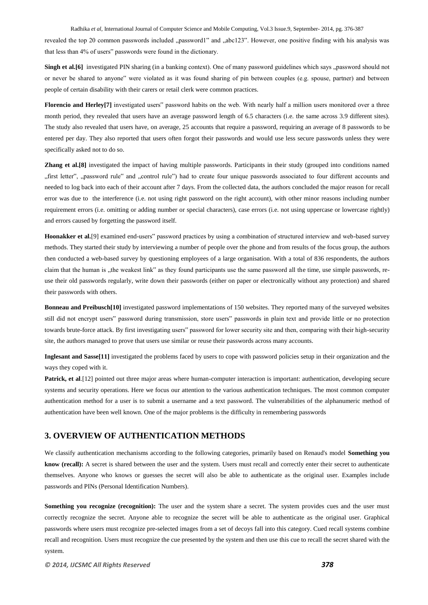Radhika *et al*, International Journal of Computer Science and Mobile Computing, Vol.3 Issue.9, September- 2014, pg. 376-387 revealed the top 20 common passwords included "password1" and "abc123". However, one positive finding with his analysis was that less than 4% of users" passwords were found in the dictionary.

**Singh et al.**[6] investigated PIN sharing (in a banking context). One of many password guidelines which says "password should not or never be shared to anyone" were violated as it was found sharing of pin between couples (e.g. spouse, partner) and between people of certain disability with their carers or retail clerk were common practices.

**Florencio and Herley[7]** investigated users" password habits on the web. With nearly half a million users monitored over a three month period, they revealed that users have an average password length of 6.5 characters (i.e. the same across 3.9 different sites). The study also revealed that users have, on average, 25 accounts that require a password, requiring an average of 8 passwords to be entered per day. They also reported that users often forgot their passwords and would use less secure passwords unless they were specifically asked not to do so.

**Zhang et al.[8]** investigated the impact of having multiple passwords. Participants in their study (grouped into conditions named "first letter", "password rule" and "control rule") had to create four unique passwords associated to four different accounts and needed to log back into each of their account after 7 days. From the collected data, the authors concluded the major reason for recall error was due to the interference (i.e. not using right password on the right account), with other minor reasons including number requirement errors (i.e. omitting or adding number or special characters), case errors (i.e. not using uppercase or lowercase rightly) and errors caused by forgetting the password itself.

**Hoonakker et al.**[9] examined end-users" password practices by using a combination of structured interview and web-based survey methods. They started their study by interviewing a number of people over the phone and from results of the focus group, the authors then conducted a web-based survey by questioning employees of a large organisation. With a total of 836 respondents, the authors claim that the human is "the weakest link" as they found participants use the same password all the time, use simple passwords, reuse their old passwords regularly, write down their passwords (either on paper or electronically without any protection) and shared their passwords with others.

**Bonneau and Preibusch[10]** investigated password implementations of 150 websites. They reported many of the surveyed websites still did not encrypt users" password during transmission, store users" passwords in plain text and provide little or no protection towards brute-force attack. By first investigating users" password for lower security site and then, comparing with their high-security site, the authors managed to prove that users use similar or reuse their passwords across many accounts.

**Inglesant and Sasse[11]** investigated the problems faced by users to cope with password policies setup in their organization and the ways they coped with it.

**Patrick, et al**.[12] pointed out three major areas where human-computer interaction is important: authentication, developing secure systems and security operations. Here we focus our attention to the various authentication techniques. The most common computer authentication method for a user is to submit a username and a text password. The vulnerabilities of the alphanumeric method of authentication have been well known. One of the major problems is the difficulty in remembering passwords

### **3. OVERVIEW OF AUTHENTICATION METHODS**

We classify authentication mechanisms according to the following categories, primarily based on Renaud's model **Something you know (recall):** A secret is shared between the user and the system. Users must recall and correctly enter their secret to authenticate themselves. Anyone who knows or guesses the secret will also be able to authenticate as the original user. Examples include passwords and PINs (Personal Identification Numbers).

**Something you recognize (recognition):** The user and the system share a secret. The system provides cues and the user must correctly recognize the secret. Anyone able to recognize the secret will be able to authenticate as the original user. Graphical passwords where users must recognize pre-selected images from a set of decoys fall into this category. Cued recall systems combine recall and recognition. Users must recognize the cue presented by the system and then use this cue to recall the secret shared with the system.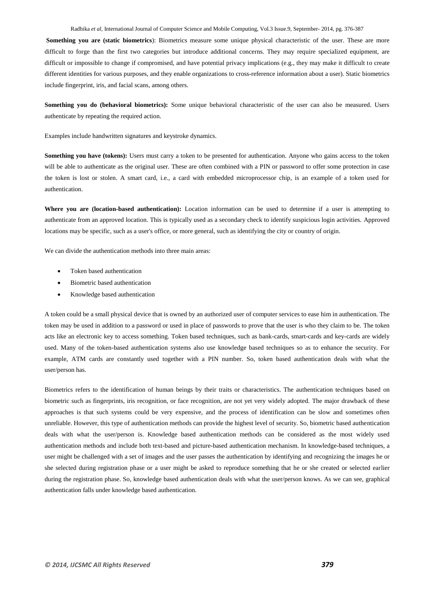Radhika *et al*, International Journal of Computer Science and Mobile Computing, Vol.3 Issue.9, September- 2014, pg. 376-387

**Something you are (static biometrics**): Biometrics measure some unique physical characteristic of the user. These are more difficult to forge than the first two categories but introduce additional concerns. They may require specialized equipment, are difficult or impossible to change if compromised, and have potential privacy implications (e.g., they may make it difficult to create different identities for various purposes, and they enable organizations to cross-reference information about a user). Static biometrics include fingerprint, iris, and facial scans, among others.

**Something you do (behavioral biometrics):** Some unique behavioral characteristic of the user can also be measured. Users authenticate by repeating the required action.

Examples include handwritten signatures and keystroke dynamics.

**Something you have (tokens):** Users must carry a token to be presented for authentication. Anyone who gains access to the token will be able to authenticate as the original user. These are often combined with a PIN or password to offer some protection in case the token is lost or stolen. A smart card, i.e., a card with embedded microprocessor chip, is an example of a token used for authentication.

**Where you are (location-based authentication):** Location information can be used to determine if a user is attempting to authenticate from an approved location. This is typically used as a secondary check to identify suspicious login activities. Approved locations may be specific, such as a user's office, or more general, such as identifying the city or country of origin.

We can divide the authentication methods into three main areas:

- Token based authentication
- Biometric based authentication
- Knowledge based authentication

A token could be a small physical device that is owned by an authorized user of computer services to ease him in authentication. The token may be used in addition to a password or used in place of passwords to prove that the user is who they claim to be. The token acts like an electronic key to access something. Token based techniques, such as bank-cards, smart-cards and key-cards are widely used. Many of the token-based authentication systems also use knowledge based techniques so as to enhance the security. For example, ATM cards are constantly used together with a PIN number. So, token based authentication deals with what the user/person has.

Biometrics refers to the identification of human beings by their traits or characteristics. The authentication techniques based on biometric such as fingerprints, iris recognition, or face recognition, are not yet very widely adopted. The major drawback of these approaches is that such systems could be very expensive, and the process of identification can be slow and sometimes often unreliable. However, this type of authentication methods can provide the highest level of security. So, biometric based authentication deals with what the user/person is. Knowledge based authentication methods can be considered as the most widely used authentication methods and include both text-based and picture-based authentication mechanism. In knowledge-based techniques, a user might be challenged with a set of images and the user passes the authentication by identifying and recognizing the images he or she selected during registration phase or a user might be asked to reproduce something that he or she created or selected earlier during the registration phase. So, knowledge based authentication deals with what the user/person knows. As we can see, graphical authentication falls under knowledge based authentication.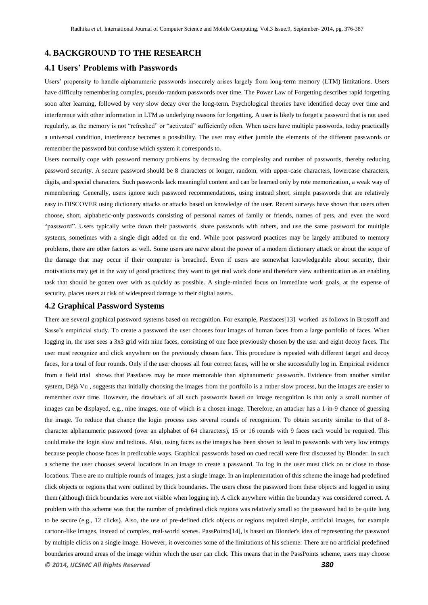### **4. BACKGROUND TO THE RESEARCH**

### **4.1 Users' Problems with Passwords**

Users' propensity to handle alphanumeric passwords insecurely arises largely from long-term memory (LTM) limitations. Users have difficulty remembering complex, pseudo-random passwords over time. The Power Law of Forgetting describes rapid forgetting soon after learning, followed by very slow decay over the long-term. Psychological theories have identified decay over time and interference with other information in LTM as underlying reasons for forgetting. A user is likely to forget a password that is not used regularly, as the memory is not "refreshed" or "activated" sufficiently often. When users have multiple passwords, today practically a universal condition, interference becomes a possibility. The user may either jumble the elements of the different passwords or remember the password but confuse which system it corresponds to.

Users normally cope with password memory problems by decreasing the complexity and number of passwords, thereby reducing password security. A secure password should be 8 characters or longer, random, with upper-case characters, lowercase characters, digits, and special characters. Such passwords lack meaningful content and can be learned only by rote memorization, a weak way of remembering. Generally, users ignore such password recommendations, using instead short, simple passwords that are relatively easy to DISCOVER using dictionary attacks or attacks based on knowledge of the user. Recent surveys have shown that users often choose, short, alphabetic-only passwords consisting of personal names of family or friends, names of pets, and even the word "password". Users typically write down their passwords, share passwords with others, and use the same password for multiple systems, sometimes with a single digit added on the end. While poor password practices may be largely attributed to memory problems, there are other factors as well. Some users are naïve about the power of a modern dictionary attack or about the scope of the damage that may occur if their computer is breached. Even if users are somewhat knowledgeable about security, their motivations may get in the way of good practices; they want to get real work done and therefore view authentication as an enabling task that should be gotten over with as quickly as possible. A single-minded focus on immediate work goals, at the expense of security, places users at risk of widespread damage to their digital assets.

### **4.2 Graphical Password Systems**

*© 2014, IJCSMC All Rights Reserved 380* There are several graphical password systems based on recognition. For example, Passfaces[13] worked as follows in Brostoff and Sasse's empiricial study. To create a password the user chooses four images of human faces from a large portfolio of faces. When logging in, the user sees a 3x3 grid with nine faces, consisting of one face previously chosen by the user and eight decoy faces. The user must recognize and click anywhere on the previously chosen face. This procedure is repeated with different target and decoy faces, for a total of four rounds. Only if the user chooses all four correct faces, will he or she successfully log in. Empirical evidence from a field trial shows that Passfaces may be more memorable than alphanumeric passwords. Evidence from another similar system, Déjà Vu , suggests that initially choosing the images from the portfolio is a rather slow process, but the images are easier to remember over time. However, the drawback of all such passwords based on image recognition is that only a small number of images can be displayed, e.g., nine images, one of which is a chosen image. Therefore, an attacker has a 1-in-9 chance of guessing the image. To reduce that chance the login process uses several rounds of recognition. To obtain security similar to that of 8 character alphanumeric password (over an alphabet of 64 characters), 15 or 16 rounds with 9 faces each would be required. This could make the login slow and tedious. Also, using faces as the images has been shown to lead to passwords with very low entropy because people choose faces in predictable ways. Graphical passwords based on cued recall were first discussed by Blonder. In such a scheme the user chooses several locations in an image to create a password. To log in the user must click on or close to those locations. There are no multiple rounds of images, just a single image. In an implementation of this scheme the image had predefined click objects or regions that were outlined by thick boundaries. The users chose the password from these objects and logged in using them (although thick boundaries were not visible when logging in). A click anywhere within the boundary was considered correct. A problem with this scheme was that the number of predefined click regions was relatively small so the password had to be quite long to be secure (e.g., 12 clicks). Also, the use of pre-defined click objects or regions required simple, artificial images, for example cartoon-like images, instead of complex, real-world scenes. PassPoints[14], is based on Blonder's idea of representing the password by multiple clicks on a single image. However, it overcomes some of the limitations of his scheme: There are no artificial predefined boundaries around areas of the image within which the user can click. This means that in the PassPoints scheme, users may choose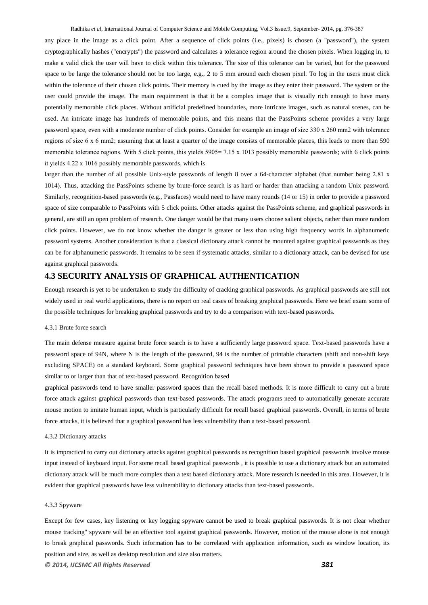Radhika *et al*, International Journal of Computer Science and Mobile Computing, Vol.3 Issue.9, September- 2014, pg. 376-387

any place in the image as a click point. After a sequence of click points (i.e., pixels) is chosen (a "password"), the system cryptographically hashes ("encrypts") the password and calculates a tolerance region around the chosen pixels. When logging in, to make a valid click the user will have to click within this tolerance. The size of this tolerance can be varied, but for the password space to be large the tolerance should not be too large, e.g., 2 to 5 mm around each chosen pixel. To log in the users must click within the tolerance of their chosen click points. Their memory is cued by the image as they enter their password. The system or the user could provide the image. The main requirement is that it be a complex image that is visually rich enough to have many potentially memorable click places. Without artificial predefined boundaries, more intricate images, such as natural scenes, can be used. An intricate image has hundreds of memorable points, and this means that the PassPoints scheme provides a very large password space, even with a moderate number of click points. Consider for example an image of size 330 х 260 mm2 with tolerance regions of size 6 х 6 mm2; assuming that at least a quarter of the image consists of memorable places, this leads to more than 590 memorable tolerance regions. With 5 click points, this yields 5905= 7.15 x 1013 possibly memorable passwords; with 6 click points it yields 4.22 х 1016 possibly memorable passwords, which is

larger than the number of all possible Unix-style passwords of length 8 over a 64-character alphabet (that number being 2.81 х 1014). Thus, attacking the PassPoints scheme by brute-force search is as hard or harder than attacking a random Unix password. Similarly, recognition-based passwords (e.g., Passfaces) would need to have many rounds (14 or 15) in order to provide a password space of size comparable to PassPoints with 5 click points. Other attacks against the PassPoints scheme, and graphical passwords in general, are still an open problem of research. One danger would be that many users choose salient objects, rather than more random click points. However, we do not know whether the danger is greater or less than using high frequency words in alphanumeric password systems. Another consideration is that a classical dictionary attack cannot be mounted against graphical passwords as they can be for alphanumeric passwords. It remains to be seen if systematic attacks, similar to a dictionary attack, can be devised for use against graphical passwords.

### **4.3 SECURITY ANALYSIS OF GRAPHICAL AUTHENTICATION**

Enough research is yet to be undertaken to study the difficulty of cracking graphical passwords. As graphical passwords are still not widely used in real world applications, there is no report on real cases of breaking graphical passwords. Here we brief exam some of the possible techniques for breaking graphical passwords and try to do a comparison with text-based passwords.

#### 4.3.1 Brute force search

The main defense measure against brute force search is to have a sufficiently large password space. Text-based passwords have a password space of 94N, where N is the length of the password, 94 is the number of printable characters (shift and non-shift keys excluding SPACE) on a standard keyboard. Some graphical password techniques have been shown to provide a password space similar to or larger than that of text-based password. Recognition based

graphical passwords tend to have smaller password spaces than the recall based methods. It is more difficult to carry out a brute force attack against graphical passwords than text-based passwords. The attack programs need to automatically generate accurate mouse motion to imitate human input, which is particularly difficult for recall based graphical passwords. Overall, in terms of brute force attacks, it is believed that a graphical password has less vulnerability than a text-based password.

#### 4.3.2 Dictionary attacks

It is impractical to carry out dictionary attacks against graphical passwords as recognition based graphical passwords involve mouse input instead of keyboard input. For some recall based graphical passwords , it is possible to use a dictionary attack but an automated dictionary attack will be much more complex than a text based dictionary attack. More research is needed in this area. However, it is evident that graphical passwords have less vulnerability to dictionary attacks than text-based passwords.

#### 4.3.3 Spyware

Except for few cases, key listening or key logging spyware cannot be used to break graphical passwords. It is not clear whether mouse tracking" spyware will be an effective tool against graphical passwords. However, motion of the mouse alone is not enough to break graphical passwords. Such information has to be correlated with application information, such as window location, its position and size, as well as desktop resolution and size also matters.

*© 2014, IJCSMC All Rights Reserved 381*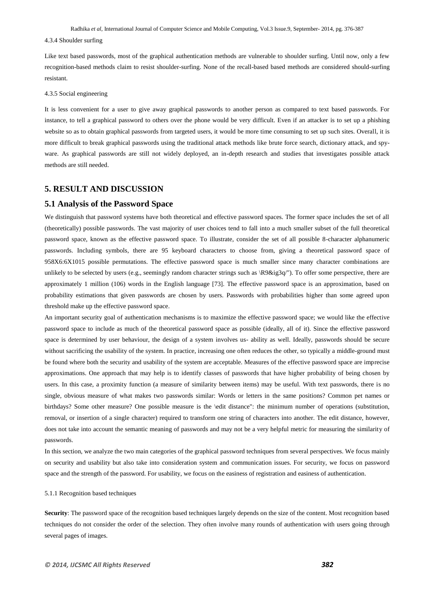#### 4.3.4 Shoulder surfing

Like text based passwords, most of the graphical authentication methods are vulnerable to shoulder surfing. Until now, only a few recognition-based methods claim to resist shoulder-surfing. None of the recall-based based methods are considered should-surfing resistant.

#### 4.3.5 Social engineering

It is less convenient for a user to give away graphical passwords to another person as compared to text based passwords. For instance, to tell a graphical password to others over the phone would be very difficult. Even if an attacker is to set up a phishing website so as to obtain graphical passwords from targeted users, it would be more time consuming to set up such sites. Overall, it is more difficult to break graphical passwords using the traditional attack methods like brute force search, dictionary attack, and spyware. As graphical passwords are still not widely deployed, an in-depth research and studies that investigates possible attack methods are still needed.

# **5. RESULT AND DISCUSSION**

### **5.1 Analysis of the Password Space**

We distinguish that password systems have both theoretical and effective password spaces. The former space includes the set of all (theoretically) possible passwords. The vast majority of user choices tend to fall into a much smaller subset of the full theoretical password space, known as the effective password space. To illustrate, consider the set of all possible 8-character alphanumeric passwords. Including symbols, there are 95 keyboard characters to choose from, giving a theoretical password space of 958X6:6X1015 possible permutations. The effective password space is much smaller since many character combinations are unlikely to be selected by users (e.g., seemingly random character strings such as  $\R9&ig3q''$ ). To offer some perspective, there are approximately 1 million (106) words in the English language [73]. The effective password space is an approximation, based on probability estimations that given passwords are chosen by users. Passwords with probabilities higher than some agreed upon threshold make up the effective password space.

An important security goal of authentication mechanisms is to maximize the effective password space; we would like the effective password space to include as much of the theoretical password space as possible (ideally, all of it). Since the effective password space is determined by user behaviour, the design of a system involves us- ability as well. Ideally, passwords should be secure without sacrificing the usability of the system. In practice, increasing one often reduces the other, so typically a middle-ground must be found where both the security and usability of the system are acceptable. Measures of the effective password space are imprecise approximations. One approach that may help is to identify classes of passwords that have higher probability of being chosen by users. In this case, a proximity function (a measure of similarity between items) may be useful. With text passwords, there is no single, obvious measure of what makes two passwords similar: Words or letters in the same positions? Common pet names or birthdays? Some other measure? One possible measure is the \edit distance": the minimum number of operations (substitution, removal, or insertion of a single character) required to transform one string of characters into another. The edit distance, however, does not take into account the semantic meaning of passwords and may not be a very helpful metric for measuring the similarity of passwords.

In this section, we analyze the two main categories of the graphical password techniques from several perspectives. We focus mainly on security and usability but also take into consideration system and communication issues. For security, we focus on password space and the strength of the password. For usability, we focus on the easiness of registration and easiness of authentication.

#### 5.1.1 Recognition based techniques

**Security**: The password space of the recognition based techniques largely depends on the size of the content. Most recognition based techniques do not consider the order of the selection. They often involve many rounds of authentication with users going through several pages of images.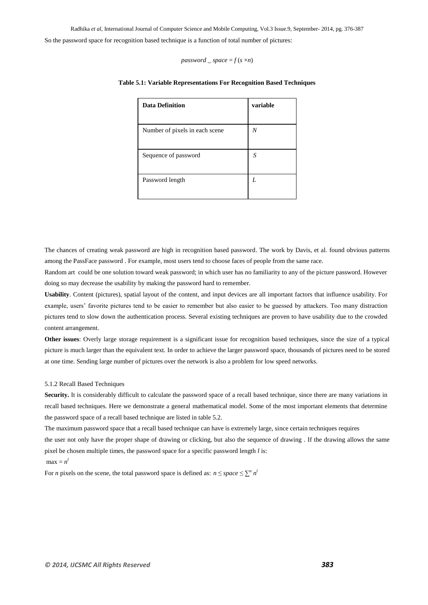*password*  $space = f(s \times n)$ 

| <b>Data Definition</b>         | variable |
|--------------------------------|----------|
| Number of pixels in each scene | N        |
| Sequence of password           | S        |
| Password length                | I        |

#### **Table 5.1: Variable Representations For Recognition Based Techniques**

The chances of creating weak password are high in recognition based password. The work by Davis, et al. found obvious patterns among the PassFace password . For example, most users tend to choose faces of people from the same race.

Random art could be one solution toward weak password; in which user has no familiarity to any of the picture password. However doing so may decrease the usability by making the password hard to remember.

**Usability**. Content (pictures), spatial layout of the content, and input devices are all important factors that influence usability. For example, users' favorite pictures tend to be easier to remember but also easier to be guessed by attackers. Too many distraction pictures tend to slow down the authentication process. Several existing techniques are proven to have usability due to the crowded content arrangement.

**Other issues**: Overly large storage requirement is a significant issue for recognition based techniques, since the size of a typical picture is much larger than the equivalent text. In order to achieve the larger password space, thousands of pictures need to be stored at one time. Sending large number of pictures over the network is also a problem for low speed networks.

#### 5.1.2 Recall Based Techniques

Security. It is considerably difficult to calculate the password space of a recall based technique, since there are many variations in recall based techniques. Here we demonstrate a general mathematical model. Some of the most important elements that determine the password space of a recall based technique are listed in table 5.2.

The maximum password space that a recall based technique can have is extremely large, since certain techniques requires

the user not only have the proper shape of drawing or clicking, but also the sequence of drawing . If the drawing allows the same pixel be chosen multiple times, the password space for a specific password length *l* is:

### $max = n^l$

For *n* pixels on the scene, the total password space is defined as:  $n \leq space \leq \sum^{n} n^{l}$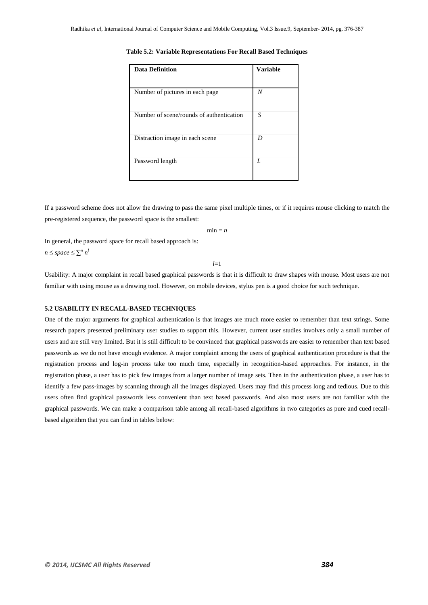| <b>Data Definition</b>                   | <b>Variable</b> |
|------------------------------------------|-----------------|
| Number of pictures in each page          | N               |
| Number of scene/rounds of authentication | S               |
| Distraction image in each scene          | D               |
| Password length                          | L               |

**Table 5.2: Variable Representations For Recall Based Techniques**

If a password scheme does not allow the drawing to pass the same pixel multiple times, or if it requires mouse clicking to match the pre-registered sequence, the password space is the smallest:

 $min = n$ 

In general, the password space for recall based approach is:  $n \leq space \leq \sum^{n} n^{l}$ 

*l*=1

Usability: A major complaint in recall based graphical passwords is that it is difficult to draw shapes with mouse. Most users are not familiar with using mouse as a drawing tool. However, on mobile devices, stylus pen is a good choice for such technique.

#### **5.2 USABILITY IN RECALL-BASED TECHNIQUES**

One of the major arguments for graphical authentication is that images are much more easier to remember than text strings. Some research papers presented preliminary user studies to support this. However, current user studies involves only a small number of users and are still very limited. But it is still difficult to be convinced that graphical passwords are easier to remember than text based passwords as we do not have enough evidence. A major complaint among the users of graphical authentication procedure is that the registration process and log-in process take too much time, especially in recognition-based approaches. For instance, in the registration phase, a user has to pick few images from a larger number of image sets. Then in the authentication phase, a user has to identify a few pass-images by scanning through all the images displayed. Users may find this process long and tedious. Due to this users often find graphical passwords less convenient than text based passwords. And also most users are not familiar with the graphical passwords. We can make a comparison table among all recall-based algorithms in two categories as pure and cued recallbased algorithm that you can find in tables below: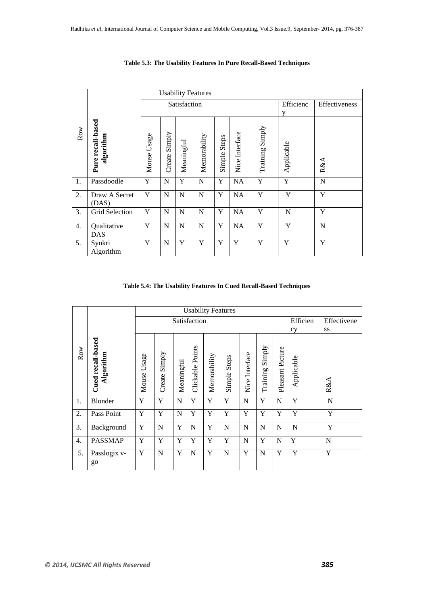|     |                                | <b>Usability Features</b> |                  |             |              |                 |                |                     |            |                |
|-----|--------------------------------|---------------------------|------------------|-------------|--------------|-----------------|----------------|---------------------|------------|----------------|
|     |                                | Satisfaction              |                  |             |              |                 |                |                     | Efficienc  | Effectiveness  |
|     |                                |                           |                  |             |              | y               |                |                     |            |                |
| Row | Pure recall-based<br>algorithm | Usage<br>Mouse            | Simply<br>Create | Meaningful  | Memorability | Steps<br>Simple | Nice Interface | Simply<br>Training! | Applicable | R&A            |
| 1.  | Passdoodle                     | Y                         | $\mathbf N$      | Y           | ${\bf N}$    | Y               | NA             | Y                   | Y          | $\overline{N}$ |
| 2.  | Draw A Secret<br>(DAS)         | Y                         | N                | $\mathbf N$ | N            | Y               | <b>NA</b>      | Y                   | Y          | Y              |
| 3.  | Grid Selection                 | Y                         | N                | $\mathbf N$ | ${\bf N}$    | Y               | NA             | Y                   | N          | Y              |
| 4.  | Qualitative<br><b>DAS</b>      | Y                         | N                | $\mathbf N$ | N            | Y               | <b>NA</b>      | Y                   | Y          | N              |
| 5.  | Syukri<br>Algorithm            | Y                         | $\mathbf N$      | Y           | Y            | Y               | Y              | Y                   | Y          | Y              |

**Table 5.3: The Usability Features In Pure Recall-Based Techniques**

### **Table 5.4: The Usability Features In Cued Recall-Based Techniques**

|                  |                                |                | <b>Usability Features</b> |             |                  |              |              |                |                    |                  |            |             |
|------------------|--------------------------------|----------------|---------------------------|-------------|------------------|--------------|--------------|----------------|--------------------|------------------|------------|-------------|
|                  |                                |                | Satisfaction              |             |                  |              |              |                |                    |                  | Efficien   | Effectivene |
|                  |                                |                |                           |             |                  |              |              |                |                    |                  | cy         | SS          |
| Row              | Cued recall-based<br>Algorithm | Usage<br>Mouse | Simply<br>Create          | Meaningful  | Clickable Points | Memorability | Simple Steps | Nice Interface | Simply<br>Training | Pleasant Picture | Applicable | R&AA        |
| 1.               | Blonder                        | Y              | Y                         | $\mathbf N$ | Y                | Y            | Y            | N              | Y                  | N                | Y          | N           |
| 2.               | Pass Point                     | Y              | Y                         | $\mathbf N$ | Y                | Y            | Y            | Y              | Y                  | Y                | Y          | Y           |
| 3.               | Background                     | $\mathbf Y$    | N                         | Y           | N                | Y            | N            | N              | $\mathbf N$        | N                | N          | Y           |
| $\overline{4}$ . | <b>PASSMAP</b>                 | Y              | Y                         | Y           | Y                | Y            | Y            | N              | Y                  | N                | Y          | N           |
| 5.               | Passlogix v-<br>go             | Y              | N                         | Y           | $\mathbf N$      | Y            | N            | Y              | $\mathbf N$        | Y                | Y          | Y           |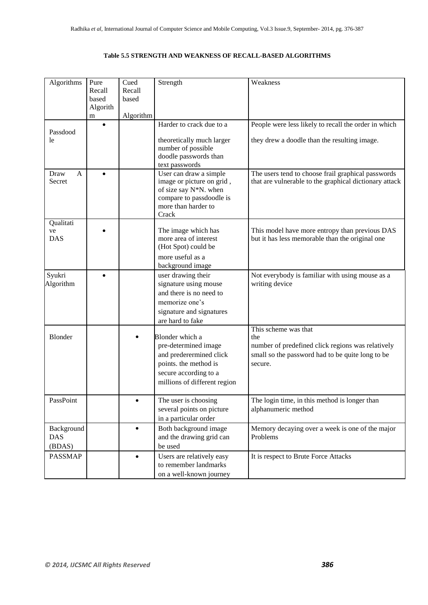# **Table 5.5 STRENGTH AND WEAKNESS OF RECALL-BASED ALGORITHMS**

| Algorithms                         | Pure<br>Recall<br>based<br>Algorith | Cued<br>Recall<br>based | Strength                                                                                                                                             | Weakness                                                                                                                                        |
|------------------------------------|-------------------------------------|-------------------------|------------------------------------------------------------------------------------------------------------------------------------------------------|-------------------------------------------------------------------------------------------------------------------------------------------------|
|                                    | m<br>$\bullet$                      | Algorithm               | Harder to crack due to a                                                                                                                             | People were less likely to recall the order in which                                                                                            |
| Passdood<br>le                     |                                     |                         | theoretically much larger<br>number of possible<br>doodle passwords than<br>text passwords                                                           | they drew a doodle than the resulting image.                                                                                                    |
| Draw<br>A<br>Secret                | $\bullet$                           |                         | User can draw a simple<br>image or picture on grid,<br>of size say N*N. when<br>compare to passdoodle is<br>more than harder to<br>Crack             | The users tend to choose frail graphical passwords<br>that are vulnerable to the graphical dictionary attack                                    |
| Qualitati<br>ve<br><b>DAS</b>      |                                     |                         | The image which has<br>more area of interest<br>(Hot Spot) could be<br>more useful as a                                                              | This model have more entropy than previous DAS<br>but it has less memorable than the original one                                               |
|                                    |                                     |                         | background image                                                                                                                                     |                                                                                                                                                 |
| Syukri<br>Algorithm                |                                     |                         | user drawing their<br>signature using mouse<br>and there is no need to<br>memorize one's<br>signature and signatures<br>are hard to fake             | Not everybody is familiar with using mouse as a<br>writing device                                                                               |
| <b>Blonder</b>                     |                                     |                         | Blonder which a<br>pre-determined image<br>and prederermined click<br>points. the method is<br>secure according to a<br>millions of different region | This scheme was that<br>the<br>number of predefined click regions was relatively<br>small so the password had to be quite long to be<br>secure. |
| PassPoint                          |                                     |                         | The user is choosing<br>several points on picture<br>in a particular order                                                                           | The login time, in this method is longer than<br>alphanumeric method                                                                            |
| Background<br><b>DAS</b><br>(BDAS) |                                     | $\bullet$               | Both background image<br>and the drawing grid can<br>be used                                                                                         | Memory decaying over a week is one of the major<br>Problems                                                                                     |
| <b>PASSMAP</b>                     |                                     |                         | Users are relatively easy<br>to remember landmarks<br>on a well-known journey                                                                        | It is respect to Brute Force Attacks                                                                                                            |